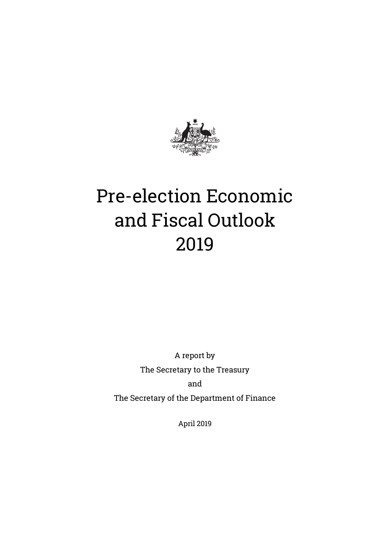

A report by The Secretary to the Treasury and

The Secretary of the Department of Finance

April 2019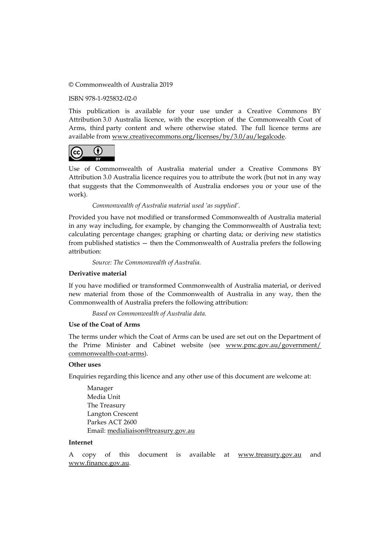#### © Commonwealth of Australia 2019

ISBN 978-1-925832-02-0

This publication is available for your use under a Creative Commons BY Attribution 3.0 Australia licence, with the exception of the Commonwealth Coat of Arms, third party content and where otherwise stated. The full licence terms are available from [www.creativecommons.org/licenses/by/3.0/au/legalcode.](http://www.creativecommons.org/licenses/by/3.0/au/legalcode)



Use of Commonwealth of Australia material under a Creative Commons BY Attribution 3.0 Australia licence requires you to attribute the work (but not in any way that suggests that the Commonwealth of Australia endorses you or your use of the work).

*Commonwealth of Australia material used 'as supplied'.*

Provided you have not modified or transformed Commonwealth of Australia material in any way including, for example, by changing the Commonwealth of Australia text; calculating percentage changes; graphing or charting data; or deriving new statistics from published statistics — then the Commonwealth of Australia prefers the following attribution:

*Source: The Commonwealth of Australia.*

#### **Derivative material**

If you have modified or transformed Commonwealth of Australia material, or derived new material from those of the Commonwealth of Australia in any way, then the Commonwealth of Australia prefers the following attribution:

*Based on Commonwealth of Australia data.*

#### **Use of the Coat of Arms**

The terms under which the Coat of Arms can be used are set out on the Department of the Prime Minister and Cabinet website (see [www.pmc.gov.au/government/](http://www.pmc.gov.au/government/commonwealth-coat-arms) [commonwealth-coat-arms\)](http://www.pmc.gov.au/government/commonwealth-coat-arms).

#### **Other uses**

Enquiries regarding this licence and any other use of this document are welcome at:

Manager Media Unit The Treasury Langton Crescent Parkes ACT 2600 Email: [medialiaison@treasury.gov.au](mailto:medialiaison@treasury.gov.au)

#### **Internet**

A copy of this document is available at [www.treasury.gov.au](http://www.treasury.gov.au/) and [www.finance.gov.au.](http://www.finance.gov.au/)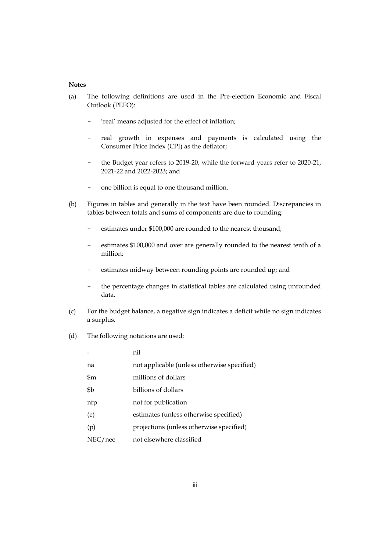#### **Notes**

- (a) The following definitions are used in the Pre-election Economic and Fiscal Outlook (PEFO):
	- 'real' means adjusted for the effect of inflation;
	- real growth in expenses and payments is calculated using the Consumer Price Index (CPI) as the deflator;
	- the Budget year refers to 2019-20, while the forward years refer to 2020-21, 2021-22 and 2022-2023; and
	- one billion is equal to one thousand million.
- (b) Figures in tables and generally in the text have been rounded. Discrepancies in tables between totals and sums of components are due to rounding:
	- estimates under \$100,000 are rounded to the nearest thousand;
	- estimates \$100,000 and over are generally rounded to the nearest tenth of a million;
	- estimates midway between rounding points are rounded up; and
	- the percentage changes in statistical tables are calculated using unrounded data.
- (c) For the budget balance, a negative sign indicates a deficit while no sign indicates a surplus.
- (d) The following notations are used:

|         | nil                                         |
|---------|---------------------------------------------|
| na      | not applicable (unless otherwise specified) |
| \$m     | millions of dollars                         |
| \$b     | billions of dollars                         |
| nfp     | not for publication                         |
| (e)     | estimates (unless otherwise specified)      |
| (p)     | projections (unless otherwise specified)    |
| NEC/nec | not elsewhere classified                    |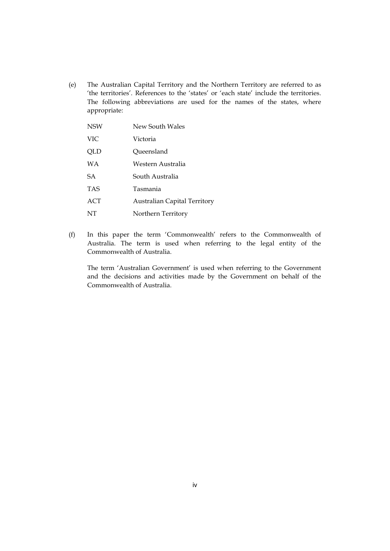(e) The Australian Capital Territory and the Northern Territory are referred to as 'the territories'. References to the 'states' or 'each state' include the territories. The following abbreviations are used for the names of the states, where appropriate:

| <b>NSW</b> | New South Wales                     |
|------------|-------------------------------------|
| <b>VIC</b> | Victoria                            |
| QLD        | Queensland                          |
| WA         | Western Australia                   |
| <b>SA</b>  | South Australia                     |
| <b>TAS</b> | Tasmania                            |
| ACT        | <b>Australian Capital Territory</b> |
| NT         | Northern Territory                  |

(f) In this paper the term 'Commonwealth' refers to the Commonwealth of Australia. The term is used when referring to the legal entity of the Commonwealth of Australia.

The term 'Australian Government' is used when referring to the Government and the decisions and activities made by the Government on behalf of the Commonwealth of Australia.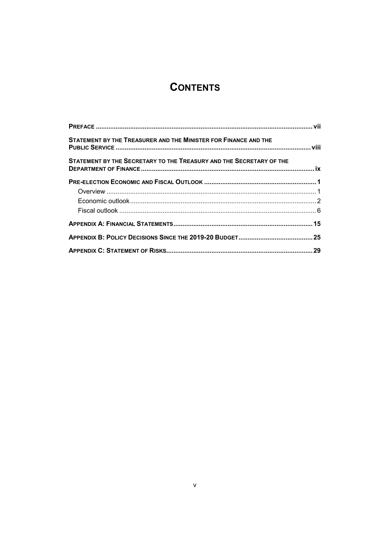# **CONTENTS**

| STATEMENT BY THE TREASURER AND THE MINISTER FOR FINANCE AND THE     |  |
|---------------------------------------------------------------------|--|
| STATEMENT BY THE SECRETARY TO THE TREASURY AND THE SECRETARY OF THE |  |
|                                                                     |  |
|                                                                     |  |
|                                                                     |  |
|                                                                     |  |
|                                                                     |  |
|                                                                     |  |
|                                                                     |  |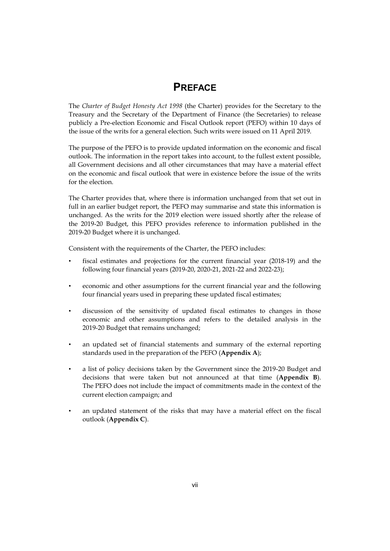### **PREFACE**

The *Charter of Budget Honesty Act 1998* (the Charter) provides for the Secretary to the Treasury and the Secretary of the Department of Finance (the Secretaries) to release publicly a Pre-election Economic and Fiscal Outlook report (PEFO) within 10 days of the issue of the writs for a general election. Such writs were issued on 11 April 2019.

The purpose of the PEFO is to provide updated information on the economic and fiscal outlook. The information in the report takes into account, to the fullest extent possible, all Government decisions and all other circumstances that may have a material effect on the economic and fiscal outlook that were in existence before the issue of the writs for the election.

The Charter provides that, where there is information unchanged from that set out in full in an earlier budget report, the PEFO may summarise and state this information is unchanged. As the writs for the 2019 election were issued shortly after the release of the 2019-20 Budget, this PEFO provides reference to information published in the 2019-20 Budget where it is unchanged.

Consistent with the requirements of the Charter, the PEFO includes:

- fiscal estimates and projections for the current financial year (2018-19) and the following four financial years (2019-20, 2020-21, 2021-22 and 2022-23);
- economic and other assumptions for the current financial year and the following four financial years used in preparing these updated fiscal estimates;
- discussion of the sensitivity of updated fiscal estimates to changes in those economic and other assumptions and refers to the detailed analysis in the 2019-20 Budget that remains unchanged;
- an updated set of financial statements and summary of the external reporting standards used in the preparation of the PEFO (**Appendix A**);
- a list of policy decisions taken by the Government since the 2019-20 Budget and decisions that were taken but not announced at that time (**Appendix B**). The PEFO does not include the impact of commitments made in the context of the current election campaign; and
- an updated statement of the risks that may have a material effect on the fiscal outlook (**Appendix C**).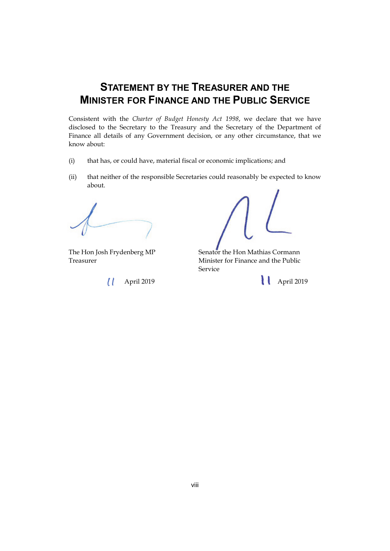# **STATEMENT BY THE TREASURER AND THE MINISTER FOR FINANCE AND THE PUBLIC SERVICE**

Consistent with the *Charter of Budget Honesty Act 1998*, we declare that we have disclosed to the Secretary to the Treasury and the Secretary of the Department of Finance all details of any Government decision, or any other circumstance, that we know about:

- (i) that has, or could have, material fiscal or economic implications; and
- (ii) that neither of the responsible Secretaries could reasonably be expected to know about.

The Hon Josh Frydenberg MP Senator the Hon Mathias Cormann Treasurer Minister for Finance and the Public Service

April 2019 April 2019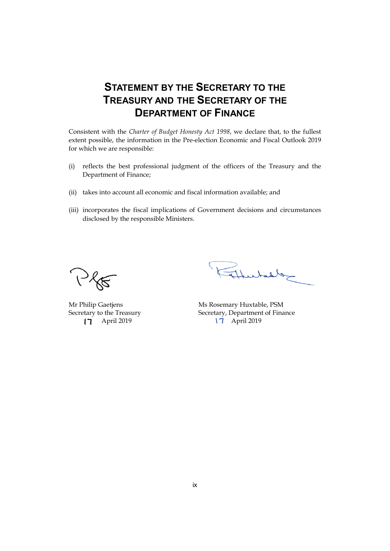# **STATEMENT BY THE SECRETARY TO THE TREASURY AND THE SECRETARY OF THE DEPARTMENT OF FINANCE**

Consistent with the *Charter of Budget Honesty Act 1998*, we declare that, to the fullest extent possible, the information in the Pre-election Economic and Fiscal Outlook 2019 for which we are responsible:

- (i) reflects the best professional judgment of the officers of the Treasury and the Department of Finance;
- (ii) takes into account all economic and fiscal information available; and
- (iii) incorporates the fiscal implications of Government decisions and circumstances disclosed by the responsible Ministers.

Plo

Mr Philip Gaetjens Secretary to the Treasury **17** April 2019

Thursday

Ms Rosemary Huxtable, PSM Secretary, Department of Finance 17 April 2019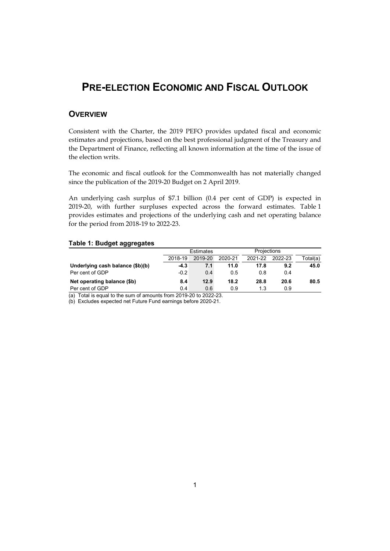### **PRE-ELECTION ECONOMIC AND FISCAL OUTLOOK**

### **OVERVIEW**

Consistent with the Charter, the 2019 PEFO provides updated fiscal and economic estimates and projections, based on the best professional judgment of the Treasury and the Department of Finance, reflecting all known information at the time of the issue of the election writs.

The economic and fiscal outlook for the Commonwealth has not materially changed since the publication of the 2019-20 Budget on 2 April 2019.

An underlying cash surplus of \$7.1 billion (0.4 per cent of GDP) is expected in 2019-20, with further surpluses expected across the forward estimates. Table 1 provides estimates and projections of the underlying cash and net operating balance for the period from 2018-19 to 2022-23.

#### **Table 1: Budget aggregates**

|                                  | <b>Estimates</b> |         |         | <b>Projections</b> |         |          |
|----------------------------------|------------------|---------|---------|--------------------|---------|----------|
|                                  | 2018-19          | 2019-20 | 2020-21 | 2021-22            | 2022-23 | Total(a) |
| Underlying cash balance (\$b)(b) | $-4.3$           | 7.1     | 11.0    | 17.8               | 9.2     | 45.0     |
| Per cent of GDP                  | $-0.2$           | 0.4     | 0.5     | 0.8                | 0.4     |          |
| Net operating balance (\$b)      | 8.4              | 12.9    | 18.2    | 28.8               | 20.6    | 80.5     |
| Per cent of GDP                  | 0.4              | 0.6     | 0.9     | 1.3                | 0.9     |          |

(a) Total is equal to the sum of amounts from 2019-20 to 2022-23.

(b) Excludes expected net Future Fund earnings before 2020-21.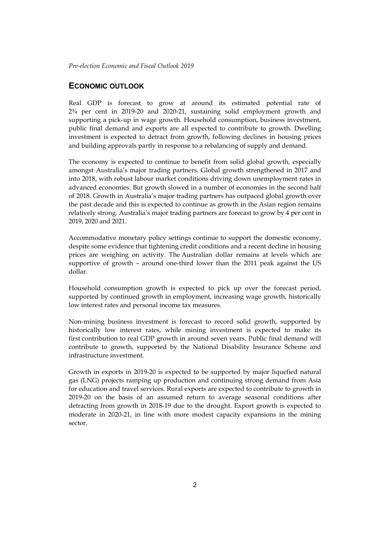#### **ECONOMIC OUTLOOK**

Real GDP is forecast to grow at around its estimated potential rate of 2¾ per cent in 2019-20 and 2020-21, sustaining solid employment growth and supporting a pick-up in wage growth. Household consumption, business investment, public final demand and exports are all expected to contribute to growth. Dwelling investment is expected to detract from growth, following declines in housing prices and building approvals partly in response to a rebalancing of supply and demand.

The economy is expected to continue to benefit from solid global growth, especially amongst Australia's major trading partners. Global growth strengthened in 2017 and into 2018, with robust labour market conditions driving down unemployment rates in advanced economies. But growth slowed in a number of economies in the second half of 2018. Growth in Australia's major trading partners has outpaced global growth over the past decade and this is expected to continue as growth in the Asian region remains relatively strong. Australia's major trading partners are forecast to grow by 4 per cent in 2019, 2020 and 2021.

Accommodative monetary policy settings continue to support the domestic economy, despite some evidence that tightening credit conditions and a recent decline in housing prices are weighing on activity. The Australian dollar remains at levels which are supportive of growth – around one-third lower than the 2011 peak against the US dollar.

Household consumption growth is expected to pick up over the forecast period, supported by continued growth in employment, increasing wage growth, historically low interest rates and personal income tax measures.

Non-mining business investment is forecast to record solid growth, supported by historically low interest rates, while mining investment is expected to make its first contribution to real GDP growth in around seven years. Public final demand will contribute to growth, supported by the National Disability Insurance Scheme and infrastructure investment.

Growth in exports in 2019-20 is expected to be supported by major liquefied natural gas (LNG) projects ramping up production and continuing strong demand from Asia for education and travel services. Rural exports are expected to contribute to growth in 2019-20 on the basis of an assumed return to average seasonal conditions after detracting from growth in 2018-19 due to the drought. Export growth is expected to moderate in 2020-21, in line with more modest capacity expansions in the mining sector.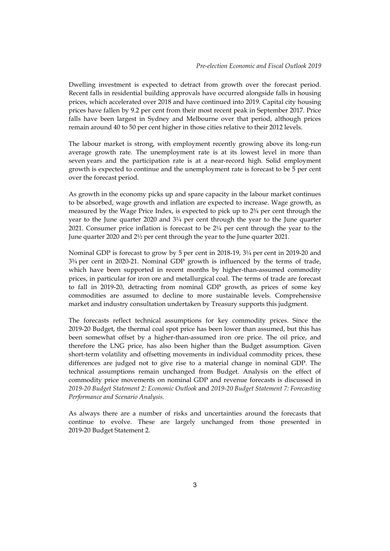Dwelling investment is expected to detract from growth over the forecast period. Recent falls in residential building approvals have occurred alongside falls in housing prices, which accelerated over 2018 and have continued into 2019. Capital city housing prices have fallen by 9.2 per cent from their most recent peak in September 2017. Price falls have been largest in Sydney and Melbourne over that period, although prices remain around 40 to 50 per cent higher in those cities relative to their 2012 levels.

The labour market is strong, with employment recently growing above its long-run average growth rate. The unemployment rate is at its lowest level in more than seven years and the participation rate is at a near-record high. Solid employment growth is expected to continue and the unemployment rate is forecast to be 5 per cent over the forecast period.

As growth in the economy picks up and spare capacity in the labour market continues to be absorbed, wage growth and inflation are expected to increase. Wage growth, as measured by the Wage Price Index, is expected to pick up to 2¾ per cent through the year to the June quarter 2020 and 3¼ per cent through the year to the June quarter 2021. Consumer price inflation is forecast to be 2¼ per cent through the year to the June quarter 2020 and 2½ per cent through the year to the June quarter 2021.

Nominal GDP is forecast to grow by 5 per cent in 2018-19, 3¼ per cent in 2019-20 and 3¾ per cent in 2020-21. Nominal GDP growth is influenced by the terms of trade, which have been supported in recent months by higher-than-assumed commodity prices, in particular for iron ore and metallurgical coal. The terms of trade are forecast to fall in 2019-20, detracting from nominal GDP growth, as prices of some key commodities are assumed to decline to more sustainable levels. Comprehensive market and industry consultation undertaken by Treasury supports this judgment.

The forecasts reflect technical assumptions for key commodity prices. Since the 2019-20 Budget, the thermal coal spot price has been lower than assumed, but this has been somewhat offset by a higher-than-assumed iron ore price. The oil price, and therefore the LNG price, has also been higher than the Budget assumption. Given short-term volatility and offsetting movements in individual commodity prices, these differences are judged not to give rise to a material change in nominal GDP. The technical assumptions remain unchanged from Budget. Analysis on the effect of commodity price movements on nominal GDP and revenue forecasts is discussed in *2019-20 Budget Statement 2: Economic Outlook* and *2019-20 Budget Statement 7: Forecasting Performance and Scenario Analysis.*

As always there are a number of risks and uncertainties around the forecasts that continue to evolve. These are largely unchanged from those presented in 2019-20 Budget Statement 2.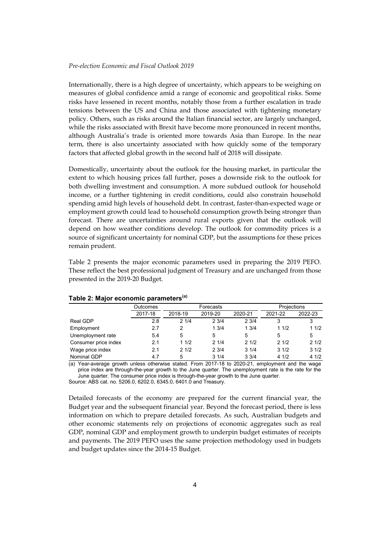Internationally, there is a high degree of uncertainty, which appears to be weighing on measures of global confidence amid a range of economic and geopolitical risks. Some risks have lessened in recent months, notably those from a further escalation in trade tensions between the US and China and those associated with tightening monetary policy. Others, such as risks around the Italian financial sector, are largely unchanged, while the risks associated with Brexit have become more pronounced in recent months, although Australia's trade is oriented more towards Asia than Europe. In the near term, there is also uncertainty associated with how quickly some of the temporary factors that affected global growth in the second half of 2018 will dissipate.

Domestically, uncertainty about the outlook for the housing market, in particular the extent to which housing prices fall further, poses a downside risk to the outlook for both dwelling investment and consumption. A more subdued outlook for household income, or a further tightening in credit conditions, could also constrain household spending amid high levels of household debt. In contrast, faster-than-expected wage or employment growth could lead to household consumption growth being stronger than forecast. There are uncertainties around rural exports given that the outlook will depend on how weather conditions develop. The outlook for commodity prices is a source of significant uncertainty for nominal GDP, but the assumptions for these prices remain prudent.

Table 2 presents the major economic parameters used in preparing the 2019 PEFO. These reflect the best professional judgment of Treasury and are unchanged from those presented in the 2019-20 Budget.

|                      | Outcomes | Forecasts |         |         | Projections |         |  |  |
|----------------------|----------|-----------|---------|---------|-------------|---------|--|--|
|                      | 2017-18  | 2018-19   | 2019-20 | 2020-21 | 2021-22     | 2022-23 |  |  |
| Real GDP             | 2.8      | 21/4      | 23/4    | 23/4    | 3           | 3       |  |  |
| Employment           | 2.7      | 2         | 1.3/4   | 13/4    | 11/2        | 11/2    |  |  |
| Unemployment rate    | 5.4      | 5         | 5       | 5       | 5           | 5       |  |  |
| Consumer price index | 2.1      | 11/2      | 21/4    | 21/2    | 21/2        | 21/2    |  |  |
| Wage price index     | 2.1      | 21/2      | 23/4    | 31/4    | 31/2        | 31/2    |  |  |
| Nominal GDP          | 4.7      | 5         | 31/4    | 33/4    | 41/2        | 41/2    |  |  |

#### **Table 2: Major economic parameters(a)**

(a) Year-average growth unless otherwise stated. From 2017-18 to 2020-21, employment and the wage price index are through-the-year growth to the June quarter. The unemployment rate is the rate for the June quarter. The consumer price index is through-the-year growth to the June quarter.

Source: ABS cat. no. 5206.0, 6202.0, 6345.0, 6401.0 and Treasury.

Detailed forecasts of the economy are prepared for the current financial year, the Budget year and the subsequent financial year. Beyond the forecast period, there is less information on which to prepare detailed forecasts. As such, Australian budgets and other economic statements rely on projections of economic aggregates such as real GDP, nominal GDP and employment growth to underpin budget estimates of receipts and payments. The 2019 PEFO uses the same projection methodology used in budgets and budget updates since the 2014-15 Budget.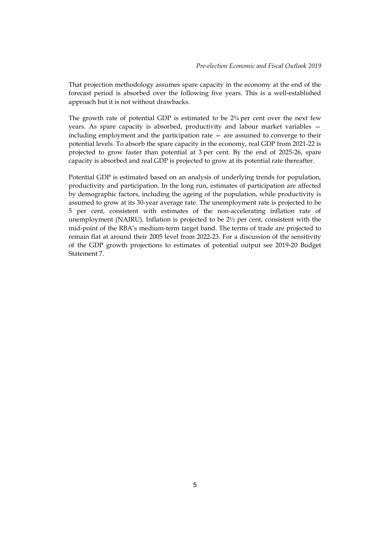That projection methodology assumes spare capacity in the economy at the end of the forecast period is absorbed over the following five years. This is a well-established approach but it is not without drawbacks.

The growth rate of potential GDP is estimated to be  $2\frac{3}{4}$  per cent over the next few years. As spare capacity is absorbed, productivity and labour market variables including employment and the participation rate — are assumed to converge to their potential levels. To absorb the spare capacity in the economy, real GDP from 2021-22 is projected to grow faster than potential at 3 per cent. By the end of 2025-26, spare capacity is absorbed and real GDP is projected to grow at its potential rate thereafter.

Potential GDP is estimated based on an analysis of underlying trends for population, productivity and participation. In the long run, estimates of participation are affected by demographic factors, including the ageing of the population, while productivity is assumed to grow at its 30-year average rate. The unemployment rate is projected to be 5 per cent, consistent with estimates of the non-accelerating inflation rate of unemployment (NAIRU). Inflation is projected to be 2½ per cent, consistent with the mid-point of the RBA's medium-term target band. The terms of trade are projected to remain flat at around their 2005 level from 2022-23. For a discussion of the sensitivity of the GDP growth projections to estimates of potential output see 2019-20 Budget Statement 7.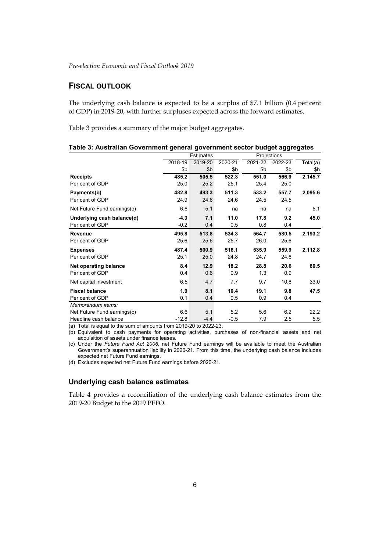### **FISCAL OUTLOOK**

The underlying cash balance is expected to be a surplus of \$7.1 billion (0.4 per cent of GDP) in 2019-20, with further surpluses expected across the forward estimates.

Table 3 provides a summary of the major budget aggregates.

|                             | <b>Estimates</b> |         | Projections |         |         |          |  |
|-----------------------------|------------------|---------|-------------|---------|---------|----------|--|
|                             | 2018-19          | 2019-20 | 2020-21     | 2021-22 | 2022-23 | Total(a) |  |
|                             | \$b              | \$b     | \$b         | \$b     | \$b     | \$b      |  |
| <b>Receipts</b>             | 485.2            | 505.5   | 522.3       | 551.0   | 566.9   | 2,145.7  |  |
| Per cent of GDP             | 25.0             | 25.2    | 25.1        | 25.4    | 25.0    |          |  |
| Payments(b)                 | 482.8            | 493.3   | 511.3       | 533.2   | 557.7   | 2,095.6  |  |
| Per cent of GDP             | 24.9             | 24.6    | 24.6        | 24.5    | 24.5    |          |  |
| Net Future Fund earnings(c) | 6.6              | 5.1     | na          | na      | na      | 5.1      |  |
| Underlying cash balance(d)  | $-4.3$           | 7.1     | 11.0        | 17.8    | 9.2     | 45.0     |  |
| Per cent of GDP             | $-0.2$           | 0.4     | 0.5         | 0.8     | 0.4     |          |  |
| Revenue                     | 495.8            | 513.8   | 534.3       | 564.7   | 580.5   | 2,193.2  |  |
| Per cent of GDP             | 25.6             | 25.6    | 25.7        | 26.0    | 25.6    |          |  |
| <b>Expenses</b>             | 487.4            | 500.9   | 516.1       | 535.9   | 559.9   | 2,112.8  |  |
| Per cent of GDP             | 25.1             | 25.0    | 24.8        | 24.7    | 24.6    |          |  |
| Net operating balance       | 8.4              | 12.9    | 18.2        | 28.8    | 20.6    | 80.5     |  |
| Per cent of GDP             | 0.4              | 0.6     | 0.9         | 1.3     | 0.9     |          |  |
| Net capital investment      | 6.5              | 4.7     | 7.7         | 9.7     | 10.8    | 33.0     |  |
| <b>Fiscal balance</b>       | 1.9              | 8.1     | 10.4        | 19.1    | 9.8     | 47.5     |  |
| Per cent of GDP             | 0.1              | 0.4     | 0.5         | 0.9     | 0.4     |          |  |
| Memorandum items:           |                  |         |             |         |         |          |  |
| Net Future Fund earnings(c) | 6.6              | 5.1     | 5.2         | 5.6     | 6.2     | 22.2     |  |
| Headline cash balance       | $-12.8$          | $-4.4$  | $-0.5$      | 7.9     | 2.5     | 5.5      |  |

| Table 3: Australian Government general government sector budget aggregates |  |  |  |  |  |  |
|----------------------------------------------------------------------------|--|--|--|--|--|--|
|----------------------------------------------------------------------------|--|--|--|--|--|--|

(a) Total is equal to the sum of amounts from 2019-20 to 2022-23.

(b) Equivalent to cash payments for operating activities, purchases of non-financial assets and net acquisition of assets under finance leases.

(c) Under the *Future Fund Act 2006*, net Future Fund earnings will be available to meet the Australian Government's superannuation liability in 2020-21. From this time, the underlying cash balance includes expected net Future Fund earnings.

(d) Excludes expected net Future Fund earnings before 2020-21.

#### **Underlying cash balance estimates**

Table 4 provides a reconciliation of the underlying cash balance estimates from the 2019-20 Budget to the 2019 PEFO.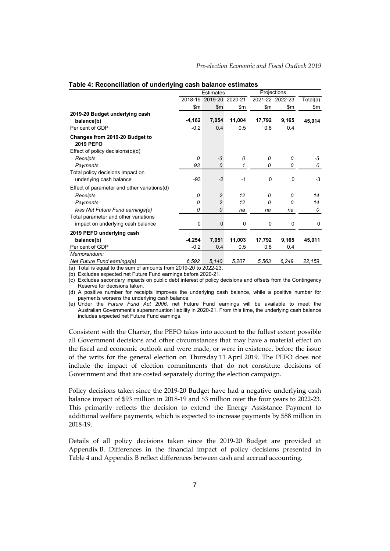|                                                    |          | <b>Estimates</b> |             |             | Projections     |          |
|----------------------------------------------------|----------|------------------|-------------|-------------|-----------------|----------|
|                                                    | 2018-19  | 2019-20 2020-21  |             |             | 2021-22 2022-23 | Total(a) |
|                                                    | \$m      | \$m\$            | \$m         | \$m         | \$m             | \$m      |
| 2019-20 Budget underlying cash                     |          |                  |             |             |                 |          |
| balance(b)                                         | $-4,162$ | 7,054            | 11,004      | 17,792      | 9,165           | 45,014   |
| Per cent of GDP                                    | $-0.2$   | 0.4              | 0.5         | 0.8         | 0.4             |          |
| Changes from 2019-20 Budget to<br><b>2019 PEFO</b> |          |                  |             |             |                 |          |
| Effect of policy decisions $(c)(d)$                |          |                  |             |             |                 |          |
| Receipts                                           | 0        | $-3$             | 0           | $\Omega$    | 0               | -3       |
| Payments                                           | 93       | $\Omega$         | 1           | 0           | 0               | 0        |
| Total policy decisions impact on                   |          |                  |             |             |                 |          |
| underlying cash balance                            | $-93$    | $-2$             | $-1$        | 0           | 0               | -3       |
| Effect of parameter and other variations(d)        |          |                  |             |             |                 |          |
| Receipts                                           | 0        | 2                | 12          | 0           | 0               | 14       |
| Payments                                           | 0        | $\overline{c}$   | 12          | 0           | $\Omega$        | 14       |
| less Net Future Fund earnings(e)                   | 0        | 0                | na          | na          | na              | 0        |
| Total parameter and other variations               |          |                  |             |             |                 |          |
| impact on underlying cash balance                  | 0        | $\mathbf 0$      | $\mathbf 0$ | $\mathbf 0$ | $\mathbf 0$     | 0        |
| 2019 PEFO underlying cash                          |          |                  |             |             |                 |          |
| balance(b)                                         | $-4,254$ | 7,051            | 11,003      | 17,792      | 9,165           | 45,011   |
| Per cent of GDP                                    | $-0.2$   | 0.4              | 0.5         | 0.8         | 0.4             |          |
| Memorandum:                                        |          |                  |             |             |                 |          |
| Net Future Fund earnings(e)                        | 6,592    | 5,140            | 5,207       | 5,563       | 6,249           | 22,159   |

#### **Table 4: Reconciliation of underlying cash balance estimates**

(a) Total is equal to the sum of amounts from 2019-20 to 2022-23.

(b) Excludes expected net Future Fund earnings before 2020-21.

(c) Excludes secondary impacts on public debt interest of policy decisions and offsets from the Contingency Reserve for decisions taken.

(d) A positive number for receipts improves the underlying cash balance, while a positive number for payments worsens the underlying cash balance.

(e) Under the *Future Fund Act 2006*, net Future Fund earnings will be available to meet the Australian Government's superannuation liability in 2020-21. From this time, the underlying cash balance includes expected net Future Fund earnings.

Consistent with the Charter, the PEFO takes into account to the fullest extent possible all Government decisions and other circumstances that may have a material effect on the fiscal and economic outlook and were made, or were in existence, before the issue of the writs for the general election on Thursday 11 April 2019. The PEFO does not include the impact of election commitments that do not constitute decisions of Government and that are costed separately during the election campaign.

Policy decisions taken since the 2019-20 Budget have had a negative underlying cash balance impact of \$93 million in 2018-19 and \$3 million over the four years to 2022-23. This primarily reflects the decision to extend the Energy Assistance Payment to additional welfare payments, which is expected to increase payments by \$88 million in 2018-19.

Details of all policy decisions taken since the 2019-20 Budget are provided at Appendix B. Differences in the financial impact of policy decisions presented in Table 4 and Appendix B reflect differences between cash and accrual accounting.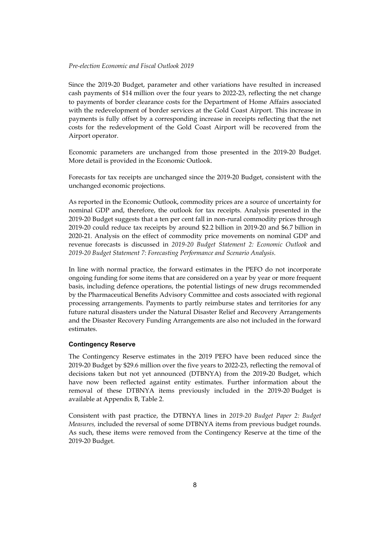Since the 2019-20 Budget, parameter and other variations have resulted in increased cash payments of \$14 million over the four years to 2022-23, reflecting the net change to payments of border clearance costs for the Department of Home Affairs associated with the redevelopment of border services at the Gold Coast Airport. This increase in payments is fully offset by a corresponding increase in receipts reflecting that the net costs for the redevelopment of the Gold Coast Airport will be recovered from the Airport operator.

Economic parameters are unchanged from those presented in the 2019-20 Budget. More detail is provided in the Economic Outlook.

Forecasts for tax receipts are unchanged since the 2019-20 Budget, consistent with the unchanged economic projections.

As reported in the Economic Outlook, commodity prices are a source of uncertainty for nominal GDP and, therefore, the outlook for tax receipts. Analysis presented in the 2019-20 Budget suggests that a ten per cent fall in non-rural commodity prices through 2019-20 could reduce tax receipts by around \$2.2 billion in 2019-20 and \$6.7 billion in 2020-21. Analysis on the effect of commodity price movements on nominal GDP and revenue forecasts is discussed in *2019-20 Budget Statement 2: Economic Outlook* and *2019-20 Budget Statement 7: Forecasting Performance and Scenario Analysis*.

In line with normal practice, the forward estimates in the PEFO do not incorporate ongoing funding for some items that are considered on a year by year or more frequent basis, including defence operations, the potential listings of new drugs recommended by the Pharmaceutical Benefits Advisory Committee and costs associated with regional processing arrangements. Payments to partly reimburse states and territories for any future natural disasters under the Natural Disaster Relief and Recovery Arrangements and the Disaster Recovery Funding Arrangements are also not included in the forward estimates.

#### **Contingency Reserve**

The Contingency Reserve estimates in the 2019 PEFO have been reduced since the 2019-20 Budget by \$29.6 million over the five years to 2022-23, reflecting the removal of decisions taken but not yet announced (DTBNYA) from the 2019-20 Budget, which have now been reflected against entity estimates. Further information about the removal of these DTBNYA items previously included in the 2019-20 Budget is available at Appendix B, Table 2.

Consistent with past practice, the DTBNYA lines in *2019-20 Budget Paper 2: Budget Measures,* included the reversal of some DTBNYA items from previous budget rounds. As such, these items were removed from the Contingency Reserve at the time of the 2019-20 Budget.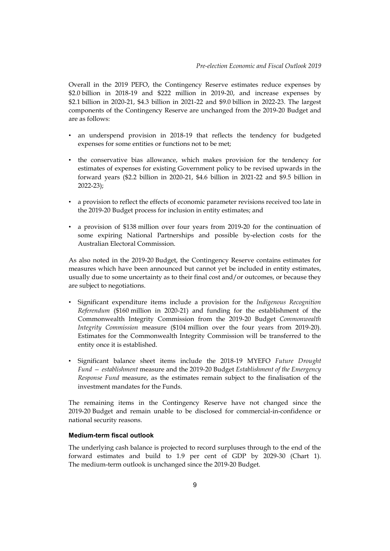Overall in the 2019 PEFO, the Contingency Reserve estimates reduce expenses by \$2.0 billion in 2018-19 and \$222 million in 2019-20, and increase expenses by \$2.1 billion in 2020-21, \$4.3 billion in 2021-22 and \$9.0 billion in 2022-23. The largest components of the Contingency Reserve are unchanged from the 2019-20 Budget and are as follows:

- an underspend provision in 2018-19 that reflects the tendency for budgeted expenses for some entities or functions not to be met;
- the conservative bias allowance, which makes provision for the tendency for estimates of expenses for existing Government policy to be revised upwards in the forward years (\$2.2 billion in 2020-21, \$4.6 billion in 2021-22 and \$9.5 billion in 2022-23);
- a provision to reflect the effects of economic parameter revisions received too late in the 2019-20 Budget process for inclusion in entity estimates; and
- a provision of \$138 million over four years from 2019-20 for the continuation of some expiring National Partnerships and possible by-election costs for the Australian Electoral Commission.

As also noted in the 2019-20 Budget, the Contingency Reserve contains estimates for measures which have been announced but cannot yet be included in entity estimates, usually due to some uncertainty as to their final cost and/or outcomes, or because they are subject to negotiations.

- Significant expenditure items include a provision for the *Indigenous Recognition Referendum* (\$160 million in 2020-21) and funding for the establishment of the Commonwealth Integrity Commission from the 2019-20 Budget *Commonwealth Integrity Commission* measure (\$104 million over the four years from 2019-20). Estimates for the Commonwealth Integrity Commission will be transferred to the entity once it is established.
- Significant balance sheet items include the 2018-19 MYEFO *Future Drought Fund — establishment* measure and the 2019-20 Budget *Establishment of the Emergency Response Fund* measure, as the estimates remain subject to the finalisation of the investment mandates for the Funds.

The remaining items in the Contingency Reserve have not changed since the 2019-20 Budget and remain unable to be disclosed for commercial-in-confidence or national security reasons.

#### **Medium-term fiscal outlook**

The underlying cash balance is projected to record surpluses through to the end of the forward estimates and build to 1.9 per cent of GDP by 2029-30 (Chart 1). The medium-term outlook is unchanged since the 2019-20 Budget.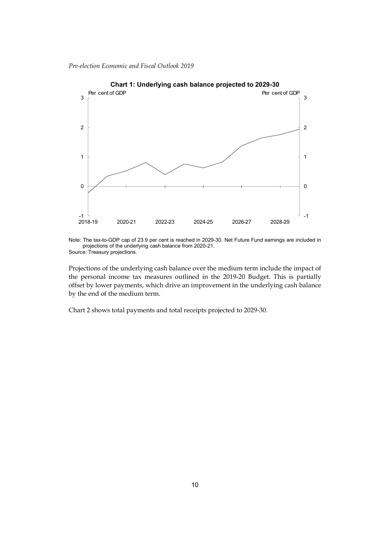

Note: The tax-to-GDP cap of 23.9 per cent is reached in 2029-30. Net Future Fund earnings are included in projections of the underlying cash balance from 2020-21. Source: Treasury projections.

Projections of the underlying cash balance over the medium term include the impact of the personal income tax measures outlined in the 2019-20 Budget. This is partially offset by lower payments, which drive an improvement in the underlying cash balance by the end of the medium term.

Chart 2 shows total payments and total receipts projected to 2029-30.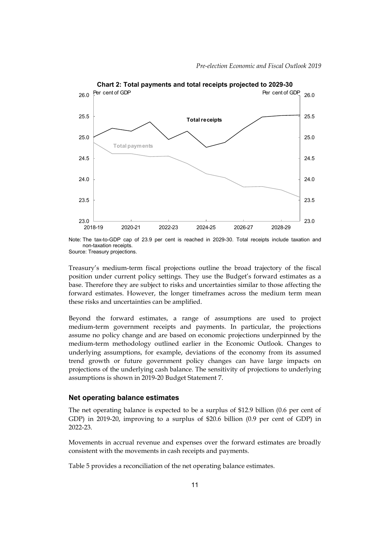

**Chart 2: Total payments and total receipts projected to 2029-30**

Source: Treasury projections.

Treasury's medium-term fiscal projections outline the broad trajectory of the fiscal position under current policy settings. They use the Budget's forward estimates as a base. Therefore they are subject to risks and uncertainties similar to those affecting the forward estimates. However, the longer timeframes across the medium term mean these risks and uncertainties can be amplified.

Beyond the forward estimates, a range of assumptions are used to project medium-term government receipts and payments. In particular, the projections assume no policy change and are based on economic projections underpinned by the medium-term methodology outlined earlier in the Economic Outlook. Changes to underlying assumptions, for example, deviations of the economy from its assumed trend growth or future government policy changes can have large impacts on projections of the underlying cash balance. The sensitivity of projections to underlying assumptions is shown in 2019-20 Budget Statement 7.

#### **Net operating balance estimates**

The net operating balance is expected to be a surplus of \$12.9 billion (0.6 per cent of GDP) in 2019-20, improving to a surplus of \$20.6 billion (0.9 per cent of GDP) in 2022-23.

Movements in accrual revenue and expenses over the forward estimates are broadly consistent with the movements in cash receipts and payments.

Table 5 provides a reconciliation of the net operating balance estimates.

Note: The tax-to-GDP cap of 23.9 per cent is reached in 2029-30. Total receipts include taxation and non-taxation receipts.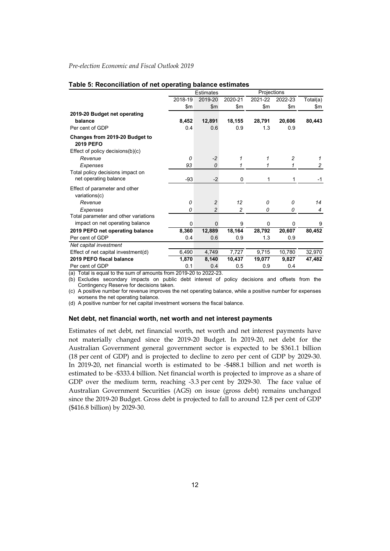|                                                                                                                                                                                                                                                                 |               | Estimates      |                | Projections |         |          |
|-----------------------------------------------------------------------------------------------------------------------------------------------------------------------------------------------------------------------------------------------------------------|---------------|----------------|----------------|-------------|---------|----------|
|                                                                                                                                                                                                                                                                 | 2018-19       | 2019-20        | 2020-21        | 2021-22     | 2022-23 | Total(a) |
|                                                                                                                                                                                                                                                                 | $\mathsf{sm}$ | $\mathsf{Sm}$  | \$m\$          | \$m         | \$m\$   | \$m      |
| 2019-20 Budget net operating                                                                                                                                                                                                                                    |               |                |                |             |         |          |
| balance                                                                                                                                                                                                                                                         | 8,452         | 12,891         | 18,155         | 28,791      | 20,606  | 80,443   |
| Per cent of GDP                                                                                                                                                                                                                                                 | 0.4           | 0.6            | 0.9            | 1.3         | 0.9     |          |
| Changes from 2019-20 Budget to<br><b>2019 PEFO</b>                                                                                                                                                                                                              |               |                |                |             |         |          |
| Effect of policy decisions(b)(c)                                                                                                                                                                                                                                |               |                |                |             |         |          |
| Revenue                                                                                                                                                                                                                                                         | 0             | $-2$           | 1              | 1           | 2       |          |
| Expenses                                                                                                                                                                                                                                                        | 93            | 0              | 1              | 1           | 1       | 2        |
| Total policy decisions impact on                                                                                                                                                                                                                                |               |                |                |             |         |          |
| net operating balance                                                                                                                                                                                                                                           | -93           | $-2$           | 0              | 1           | 1       | $-1$     |
| Effect of parameter and other<br>variations(c)                                                                                                                                                                                                                  |               |                |                |             |         |          |
| Revenue                                                                                                                                                                                                                                                         | 0             | $\overline{c}$ | 12             | 0           | 0       | 14       |
| Expenses                                                                                                                                                                                                                                                        | 0             | $\mathfrak{p}$ | $\overline{c}$ | 0           | 0       | 4        |
| Total parameter and other variations                                                                                                                                                                                                                            |               |                |                |             |         |          |
| impact on net operating balance                                                                                                                                                                                                                                 | $\Omega$      | 0              | 9              | 0           | 0       | 9        |
| 2019 PEFO net operating balance                                                                                                                                                                                                                                 | 8,360         | 12,889         | 18,164         | 28,792      | 20,607  | 80,452   |
| Per cent of GDP                                                                                                                                                                                                                                                 | 0.4           | 0.6            | 0.9            | 1.3         | 0.9     |          |
| Net capital investment                                                                                                                                                                                                                                          |               |                |                |             |         |          |
| Effect of net capital investment(d)                                                                                                                                                                                                                             | 6,490         | 4,749          | 7.727          | 9,715       | 10.780  | 32,970   |
| 2019 PEFO fiscal balance                                                                                                                                                                                                                                        | 1,870         | 8,140          | 10,437         | 19,077      | 9,827   | 47,482   |
| Per cent of GDP<br>л.<br>$(1 - \lambda)^{-1}$ . The state of the state of the state of the state of the state of the state of the state of the state of the state of the state of the state of the state of the state of the state of the state of the state of | 0.1<br>0.1001 | 0.4<br>000000  | 0.5            | 0.9         | 0.4     |          |

#### **Table 5: Reconciliation of net operating balance estimates**

(a) Total is equal to the sum of amounts from 2019-20 to 2022-23.

(b) Excludes secondary impacts on public debt interest of policy decisions and offsets from the Contingency Reserve for decisions taken.

(c) A positive number for revenue improves the net operating balance, while a positive number for expenses worsens the net operating balance.

(d) A positive number for net capital investment worsens the fiscal balance.

#### **Net debt, net financial worth, net worth and net interest payments**

Estimates of net debt, net financial worth, net worth and net interest payments have not materially changed since the 2019-20 Budget. In 2019-20, net debt for the Australian Government general government sector is expected to be \$361.1 billion (18 per cent of GDP) and is projected to decline to zero per cent of GDP by 2029-30. In 2019-20, net financial worth is estimated to be -\$488.1 billion and net worth is estimated to be -\$333.4 billion. Net financial worth is projected to improve as a share of GDP over the medium term, reaching -3.3 per cent by 2029-30. The face value of Australian Government Securities (AGS) on issue (gross debt) remains unchanged since the 2019-20 Budget. Gross debt is projected to fall to around 12.8 per cent of GDP (\$416.8 billion) by 2029-30.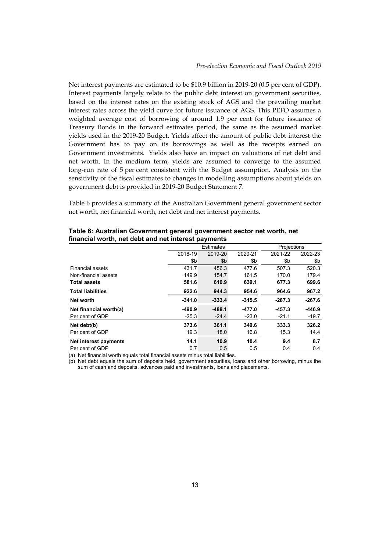Net interest payments are estimated to be \$10.9 billion in 2019-20 (0.5 per cent of GDP). Interest payments largely relate to the public debt interest on government securities, based on the interest rates on the existing stock of AGS and the prevailing market interest rates across the yield curve for future issuance of AGS. This PEFO assumes a weighted average cost of borrowing of around 1.9 per cent for future issuance of Treasury Bonds in the forward estimates period, the same as the assumed market yields used in the 2019-20 Budget. Yields affect the amount of public debt interest the Government has to pay on its borrowings as well as the receipts earned on Government investments. Yields also have an impact on valuations of net debt and net worth. In the medium term, yields are assumed to converge to the assumed long-run rate of 5 per cent consistent with the Budget assumption. Analysis on the sensitivity of the fiscal estimates to changes in modelling assumptions about yields on government debt is provided in 2019-20 Budget Statement 7.

Table 6 provides a summary of the Australian Government general government sector net worth, net financial worth, net debt and net interest payments.

|                          |          | .                |          |             |          |
|--------------------------|----------|------------------|----------|-------------|----------|
|                          |          | <b>Estimates</b> |          | Projections |          |
|                          | 2018-19  | 2019-20          | 2020-21  | 2021-22     | 2022-23  |
|                          | \$b      | \$b              | \$b      | \$b         | \$b      |
| <b>Financial assets</b>  | 431.7    | 456.3            | 477.6    | 507.3       | 520.3    |
| Non-financial assets     | 149.9    | 154.7            | 161.5    | 170.0       | 179.4    |
| <b>Total assets</b>      | 581.6    | 610.9            | 639.1    | 677.3       | 699.6    |
| <b>Total liabilities</b> | 922.6    | 944.3            | 954.6    | 964.6       | 967.2    |
| Net worth                | $-341.0$ | $-333.4$         | $-315.5$ | $-287.3$    | $-267.6$ |
| Net financial worth(a)   | $-490.9$ | $-488.1$         | $-477.0$ | $-457.3$    | $-446.9$ |
| Per cent of GDP          | $-25.3$  | $-24.4$          | $-23.0$  | $-21.1$     | $-19.7$  |
| Net debt(b)              | 373.6    | 361.1            | 349.6    | 333.3       | 326.2    |
| Per cent of GDP          | 19.3     | 18.0             | 16.8     | 15.3        | 14.4     |
| Net interest payments    | 14.1     | 10.9             | 10.4     | 9.4         | 8.7      |
| Per cent of GDP          | 0.7      | 0.5              | 0.5      | 0.4         | 0.4      |

**Table 6: Australian Government general government sector net worth, net financial worth, net debt and net interest payments**

(a) Net financial worth equals total financial assets minus total liabilities.

(b) Net debt equals the sum of deposits held, government securities, loans and other borrowing, minus the sum of cash and deposits, advances paid and investments, loans and placements.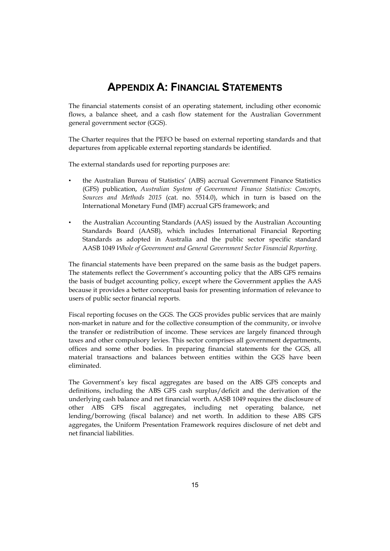# **APPENDIX A: FINANCIAL STATEMENTS**

The financial statements consist of an operating statement, including other economic flows, a balance sheet, and a cash flow statement for the Australian Government general government sector (GGS).

The Charter requires that the PEFO be based on external reporting standards and that departures from applicable external reporting standards be identified.

The external standards used for reporting purposes are:

- the Australian Bureau of Statistics' (ABS) accrual Government Finance Statistics (GFS) publication, *Australian System of Government Finance Statistics: Concepts, Sources and Methods 2015* (cat. no. 5514.0), which in turn is based on the International Monetary Fund (IMF) accrual GFS framework; and
- the Australian Accounting Standards (AAS) issued by the Australian Accounting Standards Board (AASB), which includes International Financial Reporting Standards as adopted in Australia and the public sector specific standard AASB 1049 *Whole of Government and General Government Sector Financial Reporting*.

The financial statements have been prepared on the same basis as the budget papers. The statements reflect the Government's accounting policy that the ABS GFS remains the basis of budget accounting policy, except where the Government applies the AAS because it provides a better conceptual basis for presenting information of relevance to users of public sector financial reports.

Fiscal reporting focuses on the GGS. The GGS provides public services that are mainly non-market in nature and for the collective consumption of the community, or involve the transfer or redistribution of income. These services are largely financed through taxes and other compulsory levies. This sector comprises all government departments, offices and some other bodies. In preparing financial statements for the GGS, all material transactions and balances between entities within the GGS have been eliminated.

The Government's key fiscal aggregates are based on the ABS GFS concepts and definitions, including the ABS GFS cash surplus/deficit and the derivation of the underlying cash balance and net financial worth. AASB 1049 requires the disclosure of other ABS GFS fiscal aggregates, including net operating balance, net lending/borrowing (fiscal balance) and net worth. In addition to these ABS GFS aggregates, the Uniform Presentation Framework requires disclosure of net debt and net financial liabilities.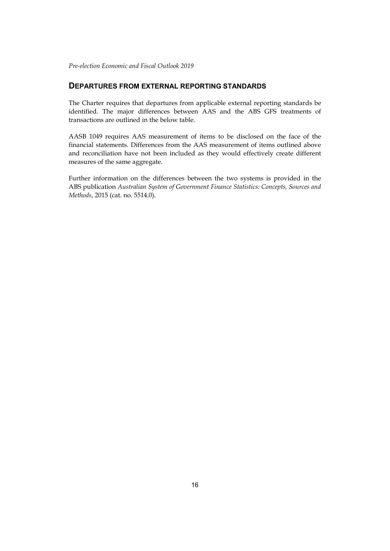#### **DEPARTURES FROM EXTERNAL REPORTING STANDARDS**

The Charter requires that departures from applicable external reporting standards be identified. The major differences between AAS and the ABS GFS treatments of transactions are outlined in the below table.

AASB 1049 requires AAS measurement of items to be disclosed on the face of the financial statements. Differences from the AAS measurement of items outlined above and reconciliation have not been included as they would effectively create different measures of the same aggregate.

Further information on the differences between the two systems is provided in the ABS publication *Australian System of Government Finance Statistics: Concepts, Sources and Methods*, 2015 (cat. no. 5514.0).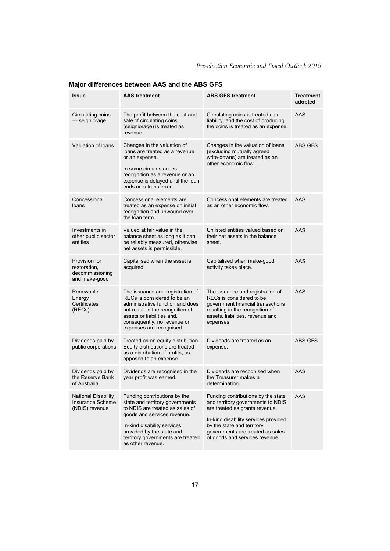| Issue                                                             | <b>AAS</b> treatment                                                                                                                                                                                                                                    | <b>ABS GFS treatment</b>                                                                                                                                                                                                                              | Treatment<br>adopted |
|-------------------------------------------------------------------|---------------------------------------------------------------------------------------------------------------------------------------------------------------------------------------------------------------------------------------------------------|-------------------------------------------------------------------------------------------------------------------------------------------------------------------------------------------------------------------------------------------------------|----------------------|
| Circulating coins<br>— seigniorage                                | The profit between the cost and<br>sale of circulating coins<br>(seigniorage) is treated as<br>revenue.                                                                                                                                                 | Circulating coins is treated as a<br>liability, and the cost of producing<br>the coins is treated as an expense.                                                                                                                                      | AAS                  |
| Valuation of loans                                                | Changes in the valuation of<br>loans are treated as a revenue<br>or an expense.<br>In some circumstances<br>recognition as a revenue or an<br>expense is delayed until the loan<br>ends or is transferred.                                              | Changes in the valuation of loans<br>(excluding mutually agreed<br>write-downs) are treated as an<br>other economic flow.                                                                                                                             | <b>ABS GFS</b>       |
| Concessional<br>loans                                             | Concessional elements are<br>treated as an expense on initial<br>recognition and unwound over<br>the loan term.                                                                                                                                         | Concessional elements are treated<br>as an other economic flow.                                                                                                                                                                                       | AAS                  |
| Investments in<br>other public sector<br>entities                 | Valued at fair value in the<br>balance sheet as long as it can<br>be reliably measured, otherwise<br>net assets is permissible.                                                                                                                         | Unlisted entities valued based on<br>their net assets in the balance<br>sheet.                                                                                                                                                                        | AAS                  |
| Provision for<br>restoration.<br>decommissioning<br>and make-good | Capitalised when the asset is<br>acquired.                                                                                                                                                                                                              | Capitalised when make-good<br>activity takes place.                                                                                                                                                                                                   | AAS                  |
| Renewable<br>Energy<br>Certificates<br>(RECs)                     | The issuance and registration of<br>RECs is considered to be an<br>administrative function and does<br>not result in the recognition of<br>assets or liabilities and,<br>consequently, no revenue or<br>expenses are recognised.                        | The issuance and registration of<br>RECs is considered to be<br>government financial transactions<br>resulting in the recognition of<br>assets, liabilities, revenue and<br>expenses.                                                                 | AAS                  |
| Dividends paid by<br>public corporations                          | Treated as an equity distribution.<br>Equity distributions are treated<br>as a distribution of profits, as<br>opposed to an expense.                                                                                                                    | Dividends are treated as an<br>expense.                                                                                                                                                                                                               | ABS GFS              |
| Dividends paid by<br>the Reserve Bank<br>of Australia             | Dividends are recognised in the<br>year profit was earned.                                                                                                                                                                                              | Dividends are recognised when<br>the Treasurer makes a<br>determination.                                                                                                                                                                              | AAS                  |
| National Disability<br>Insurance Scheme<br>(NDIS) revenue         | Funding contributions by the<br>state and territory governments<br>to NDIS are treated as sales of<br>goods and services revenue.<br>In-kind disability services<br>provided by the state and<br>territory governments are treated<br>as other revenue. | Funding contributions by the state<br>and territory governments to NDIS<br>are treated as grants revenue.<br>In-kind disability services provided<br>by the state and territory<br>governments are treated as sales<br>of goods and services revenue. | AAS                  |

# **Major differences between AAS and the ABS GFS**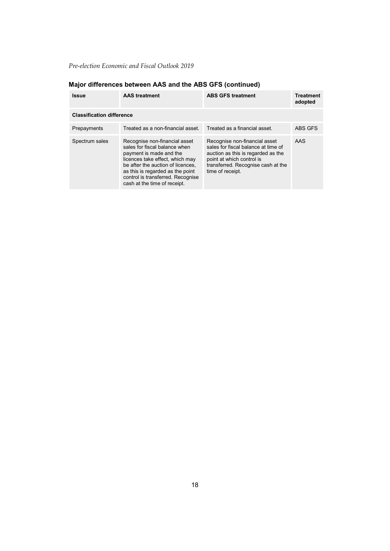| <b>Issue</b>                     | <b>AAS</b> treatment                                                                                                                                                                                                                                                       | <b>ABS GFS treatment</b>                                                                                                                                                                          | <b>Treatment</b><br>adopted |
|----------------------------------|----------------------------------------------------------------------------------------------------------------------------------------------------------------------------------------------------------------------------------------------------------------------------|---------------------------------------------------------------------------------------------------------------------------------------------------------------------------------------------------|-----------------------------|
| <b>Classification difference</b> |                                                                                                                                                                                                                                                                            |                                                                                                                                                                                                   |                             |
| Prepayments                      | Treated as a non-financial asset.                                                                                                                                                                                                                                          | Treated as a financial asset.                                                                                                                                                                     | ABS GFS                     |
| Spectrum sales                   | Recognise non-financial asset<br>sales for fiscal balance when<br>payment is made and the<br>licences take effect, which may<br>be after the auction of licences.<br>as this is regarded as the point<br>control is transferred. Recognise<br>cash at the time of receipt. | Recognise non-financial asset<br>sales for fiscal balance at time of<br>auction as this is regarded as the<br>point at which control is<br>transferred. Recognise cash at the<br>time of receipt. | AAS                         |

### **Major differences between AAS and the ABS GFS (continued)**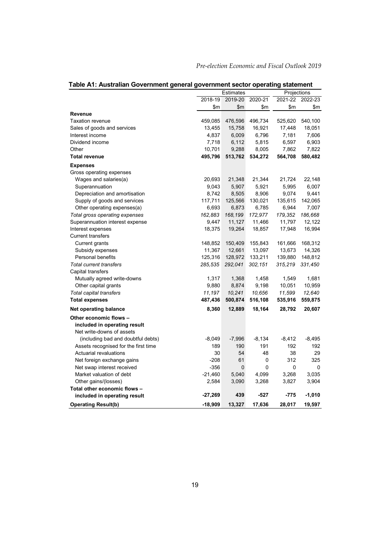|                                      |           | Estimates |          | Projections |          |
|--------------------------------------|-----------|-----------|----------|-------------|----------|
|                                      | 2018-19   | 2019-20   | 2020-21  | 2021-22     | 2022-23  |
|                                      | \$m       | \$m       | \$m      | \$m         | \$m      |
| Revenue                              |           |           |          |             |          |
| <b>Taxation revenue</b>              | 459,085   | 476,596   | 496,734  | 525,620     | 540,100  |
| Sales of goods and services          | 13,455    | 15,758    | 16,921   | 17,448      | 18,051   |
| Interest income                      | 4,837     | 6,009     | 6,796    | 7,181       | 7,606    |
| Dividend income                      | 7,718     | 6,112     | 5,815    | 6,597       | 6,903    |
| Other                                | 10,701    | 9,288     | 8,005    | 7,862       | 7,822    |
| <b>Total revenue</b>                 | 495,796   | 513,762   | 534,272  | 564,708     | 580,482  |
| <b>Expenses</b>                      |           |           |          |             |          |
| Gross operating expenses             |           |           |          |             |          |
| Wages and salaries(a)                | 20,693    | 21,348    | 21,344   | 21,724      | 22,148   |
| Superannuation                       | 9,043     | 5,907     | 5,921    | 5,995       | 6,007    |
| Depreciation and amortisation        | 8,742     | 8,505     | 8,906    | 9,074       | 9,441    |
| Supply of goods and services         | 117,711   | 125,566   | 130,021  | 135,615     | 142,065  |
| Other operating expenses(a)          | 6,693     | 6,873     | 6,785    | 6,944       | 7,007    |
| Total gross operating expenses       | 162,883   | 168,199   | 172,977  | 179,352     | 186,668  |
| Superannuation interest expense      | 9,447     | 11,127    | 11,466   | 11,797      | 12,122   |
| Interest expenses                    | 18,375    | 19,264    | 18,857   | 17,948      | 16,994   |
| <b>Current transfers</b>             |           |           |          |             |          |
| Current grants                       | 148,852   | 150,409   | 155,843  | 161,666     | 168,312  |
| Subsidy expenses                     | 11,367    | 12,661    | 13,097   | 13,673      | 14,326   |
| <b>Personal benefits</b>             | 125,316   | 128,972   | 133,211  | 139,880     | 148,812  |
| <b>Total current transfers</b>       | 285,535   | 292,041   | 302,151  | 315,219     | 331,450  |
| Capital transfers                    |           |           |          |             |          |
| Mutually agreed write-downs          | 1,317     | 1,368     | 1,458    | 1,549       | 1,681    |
| Other capital grants                 | 9,880     | 8,874     | 9,198    | 10,051      | 10,959   |
| Total capital transfers              | 11,197    | 10,241    | 10,656   | 11,599      | 12,640   |
| <b>Total expenses</b>                | 487,436   | 500,874   | 516,108  | 535,916     | 559,875  |
| Net operating balance                | 8,360     | 12,889    | 18,164   | 28,792      | 20,607   |
| Other economic flows -               |           |           |          |             |          |
| included in operating result         |           |           |          |             |          |
| Net write-downs of assets            |           |           |          |             |          |
| (including bad and doubtful debts)   | $-8,049$  | $-7,996$  | $-8,134$ | $-8,412$    | $-8,495$ |
| Assets recognised for the first time | 189       | 190       | 191      | 192         | 192      |
| <b>Actuarial revaluations</b>        | 30        | 54        | 48       | 38          | 29       |
| Net foreign exchange gains           | $-208$    | 61        | 0        | 312         | 325      |
| Net swap interest received           | $-356$    | 0         | 0        | 0           | 0        |
| Market valuation of debt             | $-21,460$ | 5,040     | 4,099    | 3,268       | 3,035    |
| Other gains/(losses)                 | 2,584     | 3,090     | 3,268    | 3,827       | 3,904    |
| Total other economic flows -         |           |           |          |             |          |
| included in operating result         | $-27,269$ | 439       | $-527$   | $-775$      | $-1,010$ |
| <b>Operating Result(b)</b>           | $-18,909$ | 13,327    | 17,636   | 28,017      | 19,597   |

### **Table A1: Australian Government general government sector operating statement**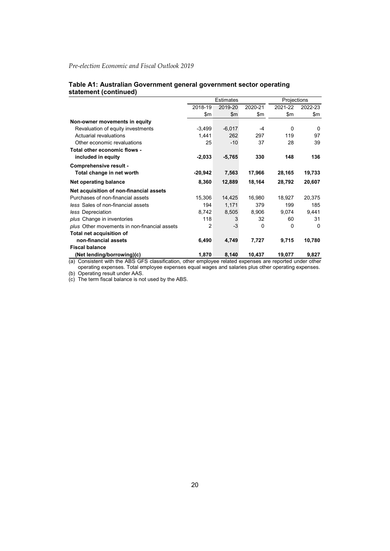#### **Table A1: Australian Government general government sector operating statement (continued)**

|                                              |                    | <b>Estimates</b> |          |          | Projections |  |
|----------------------------------------------|--------------------|------------------|----------|----------|-------------|--|
|                                              | 2018-19            | 2019-20          | 2020-21  | 2021-22  | 2022-23     |  |
|                                              | \$m                | \$m              | \$m      | \$m      | \$m         |  |
| Non-owner movements in equity                |                    |                  |          |          |             |  |
| Revaluation of equity investments            | $-3,499$           | $-6,017$         | $-4$     | $\Omega$ | 0           |  |
| Actuarial revaluations                       | 1,441              | 262              | 297      | 119      | 97          |  |
| Other economic revaluations                  | 25                 | $-10$            | 37       | 28       | 39          |  |
| Total other economic flows -                 |                    |                  |          |          |             |  |
| included in equity                           | $-2,033$           | $-5,765$         | 330      | 148      | 136         |  |
| Comprehensive result -                       |                    |                  |          |          |             |  |
| Total change in net worth                    | $-20,942$          | 7,563            | 17,966   | 28,165   | 19,733      |  |
| Net operating balance                        | 8,360              | 12,889           | 18,164   | 28,792   | 20,607      |  |
| Net acquisition of non-financial assets      |                    |                  |          |          |             |  |
| Purchases of non-financial assets            | 15,306             | 14,425           | 16,980   | 18,927   | 20,375      |  |
| less Sales of non-financial assets           | 194                | 1,171            | 379      | 199      | 185         |  |
| less Depreciation                            | 8,742              | 8,505            | 8,906    | 9,074    | 9,441       |  |
| plus Change in inventories                   | 118                | 3                | 32       | 60       | 31          |  |
| plus Other movements in non-financial assets | 2                  | $-3$             | $\Omega$ | $\Omega$ | $\Omega$    |  |
| Total net acquisition of                     |                    |                  |          |          |             |  |
| non-financial assets                         | 6,490              | 4,749            | 7,727    | 9,715    | 10,780      |  |
| <b>Fiscal balance</b>                        |                    |                  |          |          |             |  |
| (Net lending/borrowing)(c)                   | 1,870<br>$\bullet$ | 8,140            | 10,437   | 19,077   | 9,827       |  |

(a) Consistent with the ABS GFS classification, other employee related expenses are reported under other operating expenses. Total employee expenses equal wages and salaries plus other operating expenses.

(b) Operating result under AAS.

(c) The term fiscal balance is not used by the ABS.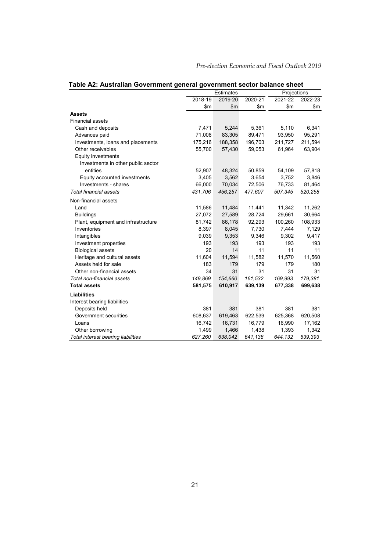|                                     |         | <b>Estimates</b> |         |         | Projections |  |
|-------------------------------------|---------|------------------|---------|---------|-------------|--|
|                                     | 2018-19 | 2019-20          | 2020-21 | 2021-22 | 2022-23     |  |
|                                     | \$m     | \$m\$            | \$m\$   | \$m     | \$m         |  |
| Assets                              |         |                  |         |         |             |  |
| <b>Financial assets</b>             |         |                  |         |         |             |  |
| Cash and deposits                   | 7,471   | 5,244            | 5,361   | 5,110   | 6,341       |  |
| Advances paid                       | 71,008  | 83,305           | 89,471  | 93,950  | 95,291      |  |
| Investments, loans and placements   | 175,216 | 188,358          | 196,703 | 211,727 | 211,594     |  |
| Other receivables                   | 55,700  | 57,430           | 59,053  | 61,964  | 63,904      |  |
| <b>Equity investments</b>           |         |                  |         |         |             |  |
| Investments in other public sector  |         |                  |         |         |             |  |
| entities                            | 52,907  | 48,324           | 50,859  | 54,109  | 57,818      |  |
| Equity accounted investments        | 3,405   | 3,562            | 3,654   | 3,752   | 3,846       |  |
| Investments - shares                | 66,000  | 70,034           | 72,506  | 76,733  | 81,464      |  |
| <b>Total financial assets</b>       | 431,706 | 456,257          | 477,607 | 507,345 | 520,258     |  |
| Non-financial assets                |         |                  |         |         |             |  |
| Land                                | 11,586  | 11,484           | 11,441  | 11,342  | 11,262      |  |
| <b>Buildings</b>                    | 27,072  | 27,589           | 28,724  | 29,661  | 30,664      |  |
| Plant, equipment and infrastructure | 81,742  | 86,178           | 92,293  | 100,260 | 108,933     |  |
| Inventories                         | 8,397   | 8,045            | 7,730   | 7,444   | 7,129       |  |
| Intangibles                         | 9,039   | 9,353            | 9,346   | 9,302   | 9,417       |  |
| Investment properties               | 193     | 193              | 193     | 193     | 193         |  |
| <b>Biological assets</b>            | 20      | 14               | 11      | 11      | 11          |  |
| Heritage and cultural assets        | 11,604  | 11,594           | 11,582  | 11,570  | 11,560      |  |
| Assets held for sale                | 183     | 179              | 179     | 179     | 180         |  |
| Other non-financial assets          | 34      | 31               | 31      | 31      | 31          |  |
| Total non-financial assets          | 149,869 | 154,660          | 161,532 | 169,993 | 179,381     |  |
| <b>Total assets</b>                 | 581,575 | 610,917          | 639,139 | 677,338 | 699,638     |  |
| <b>Liabilities</b>                  |         |                  |         |         |             |  |
| Interest bearing liabilities        |         |                  |         |         |             |  |
| Deposits held                       | 381     | 381              | 381     | 381     | 381         |  |
| Government securities               | 608,637 | 619,463          | 622,539 | 625,368 | 620,508     |  |
| Loans                               | 16,742  | 16,731           | 16,779  | 16,990  | 17,162      |  |
| Other borrowing                     | 1,499   | 1,466            | 1,438   | 1,393   | 1,342       |  |
| Total interest bearing liabilities  | 627,260 | 638,042          | 641,138 | 644,132 | 639,393     |  |

**Table A2: Australian Government general government sector balance sheet**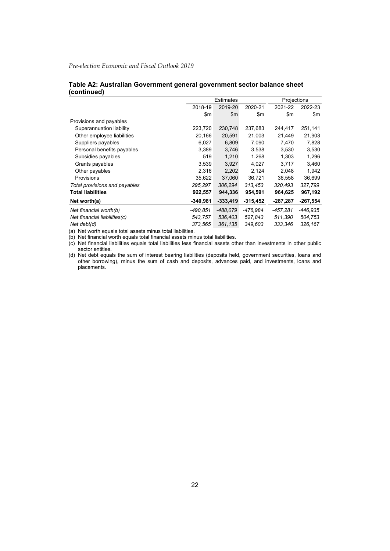|                               |            | <b>Estimates</b> |            |          | Projections |  |
|-------------------------------|------------|------------------|------------|----------|-------------|--|
|                               | 2018-19    | 2019-20          | 2020-21    | 2021-22  | 2022-23     |  |
|                               | \$m        | \$m              | \$m        | \$m      | \$m         |  |
| Provisions and payables       |            |                  |            |          |             |  |
| Superannuation liability      | 223,720    | 230,748          | 237,683    | 244,417  | 251,141     |  |
| Other employee liabilities    | 20,166     | 20,591           | 21,003     | 21,449   | 21,903      |  |
| Suppliers payables            | 6,027      | 6,809            | 7,090      | 7,470    | 7,828       |  |
| Personal benefits payables    | 3,389      | 3,746            | 3,538      | 3,530    | 3,530       |  |
| Subsidies payables            | 519        | 1,210            | 1,268      | 1,303    | 1,296       |  |
| Grants payables               | 3.539      | 3.927            | 4.027      | 3.717    | 3,460       |  |
| Other payables                | 2,316      | 2,202            | 2,124      | 2,048    | 1,942       |  |
| Provisions                    | 35,622     | 37,060           | 36,721     | 36,558   | 36,699      |  |
| Total provisions and payables | 295,297    | 306,294          | 313,453    | 320,493  | 327,799     |  |
| <b>Total liabilities</b>      | 922,557    | 944,336          | 954,591    | 964,625  | 967,192     |  |
| Net worth(a)                  | $-340,981$ | $-333,419$       | $-315,452$ | -287,287 | $-267,554$  |  |
| Net financial worth(b)        | -490.851   | -488.079         | -476.984   | -457.281 | -446,935    |  |
| Net financial liabilities(c)  | 543,757    | 536.403          | 527,843    | 511,390  | 504,753     |  |
| Net debt(d)                   | 373,565    | 361,135          | 349,603    | 333.346  | 326, 167    |  |

#### **Table A2: Australian Government general government sector balance sheet (continued)**

(a) Net worth equals total assets minus total liabilities.

(b) Net financial worth equals total financial assets minus total liabilities.

(c) Net financial liabilities equals total liabilities less financial assets other than investments in other public sector entities.

(d) Net debt equals the sum of interest bearing liabilities (deposits held, government securities, loans and other borrowing), minus the sum of cash and deposits, advances paid, and investments, loans and placements.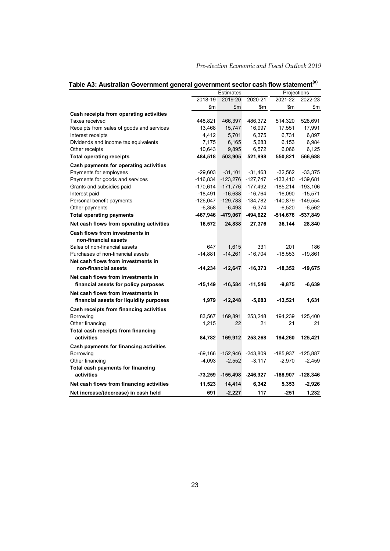|                                           |            | Estimates  |                   | Projections |                   |
|-------------------------------------------|------------|------------|-------------------|-------------|-------------------|
|                                           | 2018-19    | 2019-20    | 2020-21           | 2021-22     | 2022-23           |
|                                           | \$m        | \$m        | \$m               | \$m         | \$m               |
| Cash receipts from operating activities   |            |            |                   |             |                   |
| Taxes received                            | 448,821    | 466,397    | 486,372           | 514,320     | 528,691           |
| Receipts from sales of goods and services | 13,468     | 15,747     | 16,997            | 17,551      | 17,991            |
| Interest receipts                         | 4,412      | 5,701      | 6,375             | 6,731       | 6,897             |
| Dividends and income tax equivalents      | 7,175      | 6,165      | 5,683             | 6,153       | 6,984             |
| Other receipts                            | 10,643     | 9,895      | 6,572             | 6,066       | 6,125             |
| <b>Total operating receipts</b>           | 484,518    | 503,905    | 521,998           | 550,821     | 566,688           |
| Cash payments for operating activities    |            |            |                   |             |                   |
| Payments for employees                    | $-29,603$  | $-31,101$  | $-31,463$         | $-32,562$   | $-33,375$         |
| Payments for goods and services           | $-116,834$ | $-123,276$ | $-127,747$        | $-133,410$  | $-139,681$        |
| Grants and subsidies paid                 | $-170,614$ |            | -171,776 -177,492 | $-185,214$  | $-193,106$        |
| Interest paid                             | $-18,491$  | $-16,638$  | $-16,764$         | $-16,090$   | $-15,571$         |
| Personal benefit payments                 | $-126,047$ | $-129,783$ | $-134,782$        | $-140,879$  | $-149,554$        |
| Other payments                            | $-6,358$   | $-6,493$   | $-6,374$          | $-6,520$    | $-6,562$          |
| <b>Total operating payments</b>           | $-467,946$ | -479,067   | -494,622          |             | -514,676 -537,849 |
| Net cash flows from operating activities  | 16,572     | 24,838     | 27,376            | 36,144      | 28,840            |
| Cash flows from investments in            |            |            |                   |             |                   |
| non-financial assets                      |            |            |                   |             |                   |
| Sales of non-financial assets             | 647        | 1,615      | 331               | 201         | 186               |
| Purchases of non-financial assets         | $-14,881$  | $-14,261$  | $-16,704$         | $-18,553$   | $-19,861$         |
| Net cash flows from investments in        |            |            |                   |             |                   |
| non-financial assets                      | $-14,234$  | $-12,647$  | $-16,373$         | $-18,352$   | $-19,675$         |
| Net cash flows from investments in        |            |            |                   |             |                   |
| financial assets for policy purposes      | $-15,149$  | $-16,584$  | $-11,546$         | $-9,875$    | $-6,639$          |
| Net cash flows from investments in        |            |            |                   |             |                   |
| financial assets for liquidity purposes   | 1,979      | $-12,248$  | $-5,683$          | $-13,521$   | 1,631             |
| Cash receipts from financing activities   |            |            |                   |             |                   |
| Borrowing                                 | 83,567     | 169,891    | 253,248           | 194,239     | 125.400           |
| Other financing                           | 1,215      | 22         | 21                | 21          | 21                |
| Total cash receipts from financing        |            |            |                   |             |                   |
| activities                                | 84,782     | 169,912    | 253,268           | 194,260     | 125,421           |
| Cash payments for financing activities    |            |            |                   |             |                   |
| Borrowing                                 | $-69,166$  | -152,946   | $-243,809$        | $-185,937$  | -125,887          |
| Other financing                           | $-4,093$   | $-2,552$   | $-3,117$          | $-2,970$    | $-2,459$          |
| Total cash payments for financing         |            |            |                   |             |                   |
| activities                                | -73,259    | $-155,498$ | $-246,927$        | $-188,907$  | $-128,346$        |
| Net cash flows from financing activities  | 11,523     | 14,414     | 6,342             | 5,353       | $-2,926$          |
| Net increase/(decrease) in cash held      | 691        | $-2,227$   | 117               | $-251$      | 1,232             |

### Table A3: Australian Government general government sector cash flow statement<sup>(a)</sup>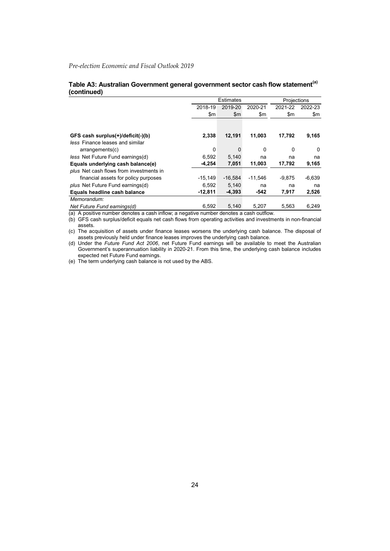#### **Table A3: Australian Government general government sector cash flow statement(a) (continued)**

|                                         |           | <b>Estimates</b> |                |          | Projections |  |
|-----------------------------------------|-----------|------------------|----------------|----------|-------------|--|
|                                         | 2018-19   | 2019-20          | 2020-21        | 2021-22  | 2022-23     |  |
|                                         | \$m       | $\mathsf{Sm}$    | $\mathsf{S}$ m | \$m      | \$m         |  |
|                                         |           |                  |                |          |             |  |
| GFS cash surplus(+)/deficit(-)(b)       | 2,338     | 12,191           | 11,003         | 17,792   | 9,165       |  |
| less Finance leases and similar         |           |                  |                |          |             |  |
| arrangements(c)                         | 0         | 0                | $\Omega$       | 0        | $\Omega$    |  |
| less Net Future Fund earnings(d)        | 6.592     | 5.140            | na             | na       | na          |  |
| Equals underlying cash balance(e)       | $-4,254$  | 7,051            | 11,003         | 17,792   | 9,165       |  |
| plus Net cash flows from investments in |           |                  |                |          |             |  |
| financial assets for policy purposes    | $-15.149$ | $-16.584$        | $-11.546$      | $-9.875$ | $-6,639$    |  |
| plus Net Future Fund earnings(d)        | 6.592     | 5.140            | na             | na       | na          |  |
| Equals headline cash balance            | $-12,811$ | $-4,393$         | -542           | 7,917    | 2,526       |  |
| Memorandum:                             |           |                  |                |          |             |  |
| Net Future Fund earnings(d)             | 6.592     | 5.140            | 5.207          | 5.563    | 6,249       |  |

(a) A positive number denotes a cash inflow; a negative number denotes a cash outflow.

(b) GFS cash surplus/deficit equals net cash flows from operating activities and investments in non-financial assets.

(c) The acquisition of assets under finance leases worsens the underlying cash balance. The disposal of assets previously held under finance leases improves the underlying cash balance.

(d) Under the *Future Fund Act 2006*, net Future Fund earnings will be available to meet the Australian Government's superannuation liability in 2020-21. From this time, the underlying cash balance includes expected net Future Fund earnings.

(e) The term underlying cash balance is not used by the ABS.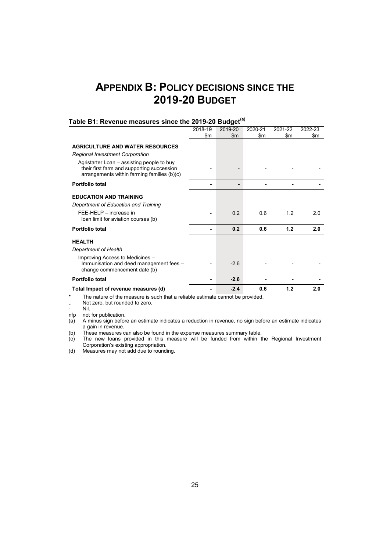# **APPENDIX B: POLICY DECISIONS SINCE THE 2019-20 BUDGET**

|                                                                                                                                         | 2018-19 | 2019-20        | 2020-21 | 2021-22 | 2022-23 |
|-----------------------------------------------------------------------------------------------------------------------------------------|---------|----------------|---------|---------|---------|
|                                                                                                                                         | \$m     | $\mathsf{Sm}$  | \$m     | \$m     | \$m     |
|                                                                                                                                         |         |                |         |         |         |
| <b>AGRICULTURE AND WATER RESOURCES</b>                                                                                                  |         |                |         |         |         |
| Regional Investment Corporation                                                                                                         |         |                |         |         |         |
| Agristarter Loan – assisting people to buy<br>their first farm and supporting succession<br>arrangements within farming families (b)(c) |         |                |         |         |         |
| <b>Portfolio total</b>                                                                                                                  |         |                |         |         |         |
| <b>EDUCATION AND TRAINING</b>                                                                                                           |         |                |         |         |         |
| Department of Education and Training                                                                                                    |         |                |         |         |         |
| FEE-HELP - increase in<br>loan limit for aviation courses (b)                                                                           |         | 0 <sub>2</sub> | 0 6     | 12      | 2.0     |
| <b>Portfolio total</b>                                                                                                                  |         | 0.2            | 0.6     | 1.2     | 2.0     |
| <b>HEALTH</b>                                                                                                                           |         |                |         |         |         |
| Department of Health                                                                                                                    |         |                |         |         |         |
| Improving Access to Medicines -<br>Immunisation and deed management fees -<br>change commencement date (b)                              |         | $-2.6$         |         |         |         |
| <b>Portfolio total</b>                                                                                                                  |         | $-2.6$         |         |         |         |
| Total Impact of revenue measures (d)                                                                                                    |         | $-2.4$         | 0.6     | 1.2     | 2.0     |

### **Table B1: Revenue measures since the 2019-20 Budget(a)**

\* The nature of the measure is such that a reliable estimate cannot be provided.

... Not zero, but rounded to zero.<br>- Nil.

- Nil. nfp not for publication.

(a) A minus sign before an estimate indicates a reduction in revenue, no sign before an estimate indicates a gain in revenue.

(b) These measures can also be found in the expense measures summary table.

(c) The new loans provided in this measure will be funded from within the Regional Investment Corporation's existing appropriation.

(d) Measures may not add due to rounding.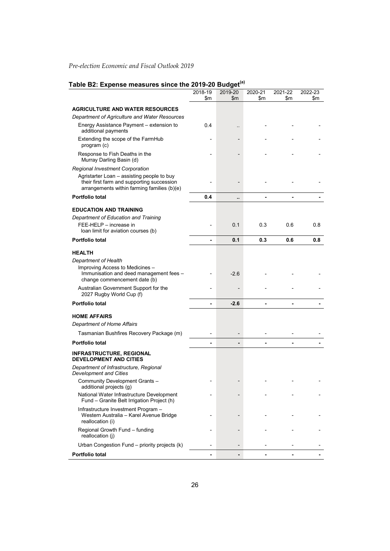# **Table B2: Expense measures since the 2019-20 Budget(a)**

|                                                                                                                                         | 2018-19<br>\$m | 2019-20<br>\$m | 2020-21<br>\$m | 2021-22<br>\$m | 2022-23<br>\$m |
|-----------------------------------------------------------------------------------------------------------------------------------------|----------------|----------------|----------------|----------------|----------------|
| <b>AGRICULTURE AND WATER RESOURCES</b>                                                                                                  |                |                |                |                |                |
| Department of Agriculture and Water Resources                                                                                           |                |                |                |                |                |
| Energy Assistance Payment - extension to<br>additional payments                                                                         | 0.4            |                |                |                |                |
| Extending the scope of the FarmHub<br>program (c)                                                                                       |                |                |                |                |                |
| Response to Fish Deaths in the<br>Murray Darling Basin (d)                                                                              |                |                |                |                |                |
| Regional Investment Corporation                                                                                                         |                |                |                |                |                |
| Agristarter Loan - assisting people to buy<br>their first farm and supporting succession<br>arrangements within farming families (b)(e) |                |                |                |                |                |
| Portfolio total                                                                                                                         | 0.4            | ٠.             |                |                |                |
| <b>EDUCATION AND TRAINING</b>                                                                                                           |                |                |                |                |                |
| Department of Education and Training                                                                                                    |                |                |                |                |                |
| FEE-HELP - increase in<br>loan limit for aviation courses (b)                                                                           |                | 0.1            | 0.3            | 0.6            | 0.8            |
| <b>Portfolio total</b>                                                                                                                  | ٠              | 0.1            | 0.3            | 0.6            | 0.8            |
| <b>HEALTH</b>                                                                                                                           |                |                |                |                |                |
| Department of Health                                                                                                                    |                |                |                |                |                |
| Improving Access to Medicines -<br>Immunisation and deed management fees -<br>change commencement date (b)                              |                | $-2.6$         |                |                |                |
| Australian Government Support for the<br>2027 Rugby World Cup (f)                                                                       |                |                |                |                |                |
| <b>Portfolio total</b>                                                                                                                  | ٠              | $-2.6$         |                |                |                |
| <b>HOME AFFAIRS</b>                                                                                                                     |                |                |                |                |                |
| Department of Home Affairs                                                                                                              |                |                |                |                |                |
| Tasmanian Bushfires Recovery Package (m)                                                                                                |                |                |                |                |                |
| Portfolio total                                                                                                                         |                |                |                |                |                |
| <b>INFRASTRUCTURE, REGIONAL</b><br><b>DEVELOPMENT AND CITIES</b>                                                                        |                |                |                |                |                |
| Department of Infrastructure, Regional<br><b>Development and Cities</b>                                                                 |                |                |                |                |                |
| Community Development Grants -<br>additional projects (g)                                                                               |                |                |                |                |                |
| National Water Infrastructure Development<br>Fund - Granite Belt Irrigation Project (h)                                                 |                |                |                |                |                |
| Infrastructure Investment Program -<br>Western Australia - Karel Avenue Bridge<br>reallocation (i)                                      |                |                |                |                |                |
| Regional Growth Fund - funding<br>reallocation (i)                                                                                      |                |                |                |                |                |
| Urban Congestion Fund - priority projects (k)                                                                                           |                |                |                |                |                |
| Portfolio total                                                                                                                         |                |                |                |                |                |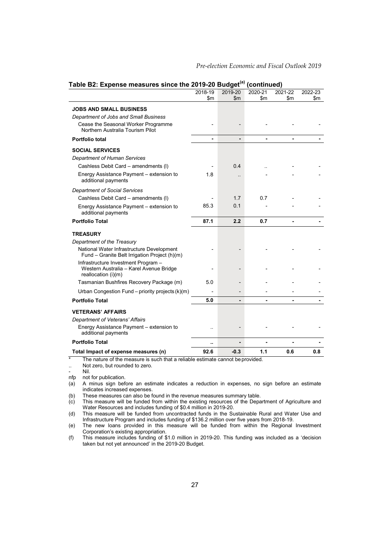|                                                                                                       | 2018-19<br>\$m | 2019-20<br>\$m | 2020-21<br>\$m | 2021-22<br>\$m | 2022-23<br>\$m |
|-------------------------------------------------------------------------------------------------------|----------------|----------------|----------------|----------------|----------------|
| <b>JOBS AND SMALL BUSINESS</b>                                                                        |                |                |                |                |                |
| Department of Jobs and Small Business                                                                 |                |                |                |                |                |
| Cease the Seasonal Worker Programme<br>Northern Australia Tourism Pilot                               |                |                |                |                |                |
| Portfolio total                                                                                       |                |                |                | ٠              |                |
| <b>SOCIAL SERVICES</b>                                                                                |                |                |                |                |                |
| Department of Human Services                                                                          |                |                |                |                |                |
| Cashless Debit Card - amendments (I)                                                                  |                | 0.4            |                |                |                |
| Energy Assistance Payment - extension to<br>additional payments                                       | 1.8            |                |                |                |                |
| <b>Department of Social Services</b>                                                                  |                |                |                |                |                |
| Cashless Debit Card - amendments (I)                                                                  |                | 17             | 07             |                |                |
| Energy Assistance Payment - extension to<br>additional payments                                       | 85.3           | 0.1            |                |                |                |
| <b>Portfolio Total</b>                                                                                | 87.1           | 2.2            | 0.7            |                |                |
| <b>TREASURY</b>                                                                                       |                |                |                |                |                |
| Department of the Treasury                                                                            |                |                |                |                |                |
| National Water Infrastructure Development<br>Fund - Granite Belt Irrigation Project (h)(m)            |                |                |                |                |                |
| Infrastructure Investment Program -<br>Western Australia - Karel Avenue Bridge<br>reallocation (i)(m) |                |                |                |                |                |
| Tasmanian Bushfires Recovery Package (m)                                                              | 5.0            |                |                |                |                |
| Urban Congestion Fund - priority projects (k)(m)                                                      |                |                |                |                |                |
| <b>Portfolio Total</b>                                                                                | 5.0            |                |                |                |                |
| <b>VETERANS' AFFAIRS</b>                                                                              |                |                |                |                |                |
| Department of Veterans' Affairs                                                                       |                |                |                |                |                |
| Energy Assistance Payment - extension to<br>additional payments                                       |                |                |                |                |                |
| <b>Portfolio Total</b>                                                                                | ٠.             |                |                |                |                |
| Total Impact of expense measures (n)                                                                  | 92.6           | $-0.3$         | 1.1            | 0.6            | 0.8            |

#### **Table B2: Expense measures since the 2019-20 Budget(a) (continued)**

\* The nature of the measure is such that a reliable estimate cannot beprovided.

- nfp not for publication.
- (a) A minus sign before an estimate indicates a reduction in expenses, no sign before an estimate indicates increased expenses.

(b) These measures can also be found in the revenue measures summary table.

(c) This measure will be funded from within the existing resources of the Department of Agriculture and Water Resources and includes funding of \$0.4 million in 2019-20.

(d) This measure will be funded from uncontracted funds in the Sustainable Rural and Water Use and Infrastructure Program and includes funding of \$136.2 million over five years from 2018-19.

(e) The new loans provided in this measure will be funded from within the Regional Investment Corporation's existing appropriation.

(f) This measure includes funding of \$1.0 million in 2019-20. This funding was included as a 'decision taken but not yet announced' in the 2019-20 Budget.

<sup>..</sup> Not zero, but rounded to zero.<br>- Nil

<sup>-</sup> Nil.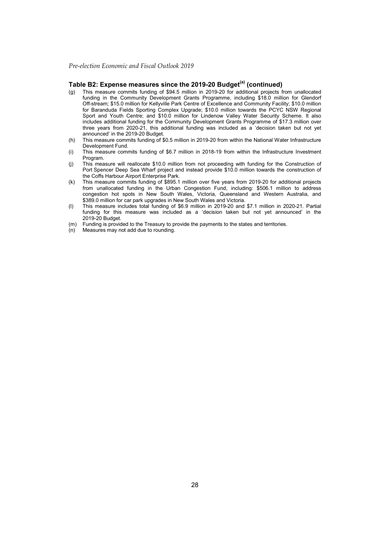#### **Table B2: Expense measures since the 2019-20 Budget(a) (continued)**

- (g) This measure commits funding of \$94.5 million in 2019-20 for additional projects from unallocated funding in the Community Development Grants Programme, including \$18.0 million for Glendorf Off-stream; \$15.0 million for Kellyville Park Centre of Excellence and Community Facility; \$10.0 million for Baranduda Fields Sporting Complex Upgrade; \$10.0 million towards the PCYC NSW Regional Sport and Youth Centre; and \$10.0 million for Lindenow Valley Water Security Scheme. It also includes additional funding for the Community Development Grants Programme of \$17.3 million over three years from 2020-21, this additional funding was included as a 'decision taken but not yet announced' in the 2019-20 Budget.
- (h) This measure commits funding of \$0.5 million in 2019-20 from within the National Water Infrastructure Development Fund.
- (i) This measure commits funding of \$6.7 million in 2018-19 from within the Infrastructure Investment Program.
- (j) This measure will reallocate \$10.0 million from not proceeding with funding for the Construction of Port Spencer Deep Sea Wharf project and instead provide \$10.0 million towards the construction of the Coffs Harbour Airport Enterprise Park.
- (k) This measure commits funding of \$895.1 million over five years from 2019-20 for additional projects from unallocated funding in the Urban Congestion Fund, including: \$506.1 million to address congestion hot spots in New South Wales, Victoria, Queensland and Western Australia, and \$389.0 million for car park upgrades in New South Wales and Victoria.
- (l) This measure includes total funding of \$6.9 million in 2019-20 and \$7.1 million in 2020-21. Partial funding for this measure was included as a 'decision taken but not yet announced' in the 2019-20 Budget.
- (m) Funding is provided to the Treasury to provide the payments to the states and territories.
- (n) Measures may not add due to rounding.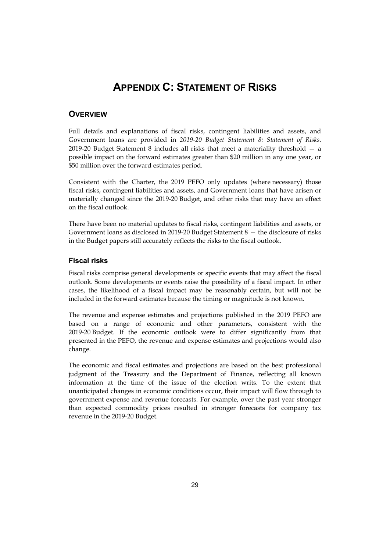# **APPENDIX C: STATEMENT OF RISKS**

### **OVERVIEW**

Full details and explanations of fiscal risks, contingent liabilities and assets, and Government loans are provided in *2019-20 Budget Statement 8: Statement of Risks*. 2019-20 Budget Statement 8 includes all risks that meet a materiality threshold — a possible impact on the forward estimates greater than \$20 million in any one year, or \$50 million over the forward estimates period.

Consistent with the Charter, the 2019 PEFO only updates (where necessary) those fiscal risks, contingent liabilities and assets, and Government loans that have arisen or materially changed since the 2019-20 Budget, and other risks that may have an effect on the fiscal outlook.

There have been no material updates to fiscal risks, contingent liabilities and assets, or Government loans as disclosed in 2019-20 Budget Statement 8 — the disclosure of risks in the Budget papers still accurately reflects the risks to the fiscal outlook.

#### **Fiscal risks**

Fiscal risks comprise general developments or specific events that may affect the fiscal outlook. Some developments or events raise the possibility of a fiscal impact. In other cases, the likelihood of a fiscal impact may be reasonably certain, but will not be included in the forward estimates because the timing or magnitude is not known.

The revenue and expense estimates and projections published in the 2019 PEFO are based on a range of economic and other parameters, consistent with the 2019-20 Budget. If the economic outlook were to differ significantly from that presented in the PEFO, the revenue and expense estimates and projections would also change.

The economic and fiscal estimates and projections are based on the best professional judgment of the Treasury and the Department of Finance, reflecting all known information at the time of the issue of the election writs. To the extent that unanticipated changes in economic conditions occur, their impact will flow through to government expense and revenue forecasts. For example, over the past year stronger than expected commodity prices resulted in stronger forecasts for company tax revenue in the 2019-20 Budget.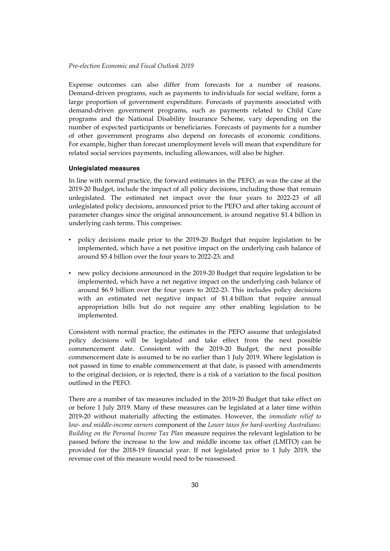Expense outcomes can also differ from forecasts for a number of reasons. Demand-driven programs, such as payments to individuals for social welfare, form a large proportion of government expenditure. Forecasts of payments associated with demand-driven government programs, such as payments related to Child Care programs and the National Disability Insurance Scheme, vary depending on the number of expected participants or beneficiaries. Forecasts of payments for a number of other government programs also depend on forecasts of economic conditions. For example, higher than forecast unemployment levels will mean that expenditure for related social services payments, including allowances, will also be higher.

#### **Unlegislated measures**

In line with normal practice, the forward estimates in the PEFO, as was the case at the 2019-20 Budget, include the impact of all policy decisions, including those that remain unlegislated. The estimated net impact over the four years to 2022-23 of all unlegislated policy decisions, announced prior to the PEFO and after taking account of parameter changes since the original announcement, is around negative \$1.4 billion in underlying cash terms. This comprises:

- policy decisions made prior to the 2019-20 Budget that require legislation to be implemented, which have a net positive impact on the underlying cash balance of around \$5.4 billion over the four years to 2022-23; and
- new policy decisions announced in the 2019-20 Budget that require legislation to be implemented, which have a net negative impact on the underlying cash balance of around \$6.9 billion over the four years to 2022-23. This includes policy decisions with an estimated net negative impact of \$1.4 billion that require annual appropriation bills but do not require any other enabling legislation to be implemented.

Consistent with normal practice, the estimates in the PEFO assume that unlegislated policy decisions will be legislated and take effect from the next possible commencement date. Consistent with the 2019-20 Budget, the next possible commencement date is assumed to be no earlier than 1 July 2019. Where legislation is not passed in time to enable commencement at that date, is passed with amendments to the original decision, or is rejected, there is a risk of a variation to the fiscal position outlined in the PEFO.

There are a number of tax measures included in the 2019-20 Budget that take effect on or before 1 July 2019. Many of these measures can be legislated at a later time within 2019-20 without materially affecting the estimates. However, the *immediate relief to low- and middle-income earners* component of the *Lower taxes for hard-working Australians: Building on the Personal Income Tax Plan* measure requires the relevant legislation to be passed before the increase to the low and middle income tax offset (LMITO) can be provided for the 2018-19 financial year. If not legislated prior to 1 July 2019, the revenue cost of this measure would need to be reassessed.